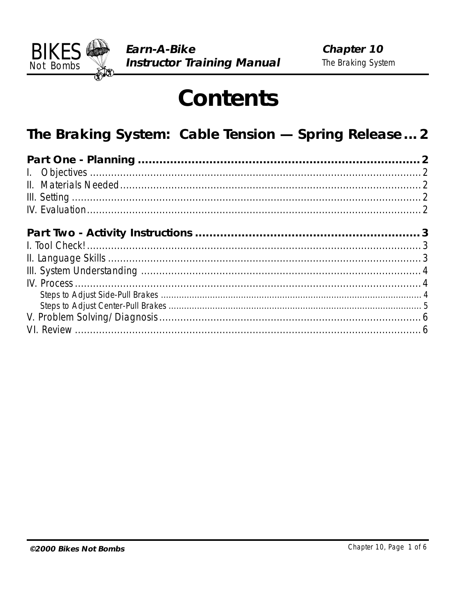

# **Contents**

# The Braking System: Cable Tension - Spring Release ... 2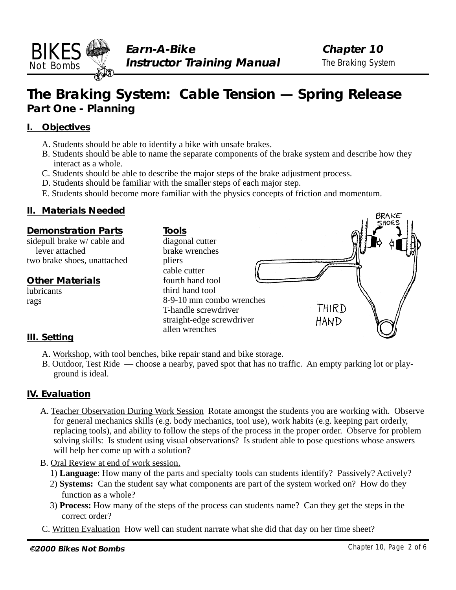<span id="page-1-0"></span>

BRAKE

## **The Braking System: Cable Tension — Spring Release Part One - Planning**

### **I. Objectives**

- A. Students should be able to identify a bike with unsafe brakes.
- B. Students should be able to name the separate components of the brake system and describe how they interact as a whole.
- C. Students should be able to describe the major steps of the brake adjustment process.
- D. Students should be familiar with the smaller steps of each major step.
- E. Students should become more familiar with the physics concepts of friction and momentum.

### **II. Materials Needed**



- A. Workshop, with tool benches, bike repair stand and bike storage.
	- B. Outdoor, Test Ride choose a nearby, paved spot that has no traffic. An empty parking lot or playground is ideal.

### **IV. Evaluation**

- A. Teacher Observation During Work Session Rotate amongst the students you are working with. Observe for general mechanics skills (e.g. body mechanics, tool use), work habits (e.g. keeping part orderly, replacing tools), and ability to follow the steps of the process in the proper order. Observe for problem solving skills: Is student using visual observations? Is student able to pose questions whose answers will help her come up with a solution?
- B. Oral Review at end of work session.
	- 1) **Language**: How many of the parts and specialty tools can students identify? Passively? Actively?
	- 2) **Systems:** Can the student say what components are part of the system worked on? How do they function as a whole?
	- 3) **Process:** How many of the steps of the process can students name? Can they get the steps in the correct order?
- C. Written Evaluation How well can student narrate what she did that day on her time sheet?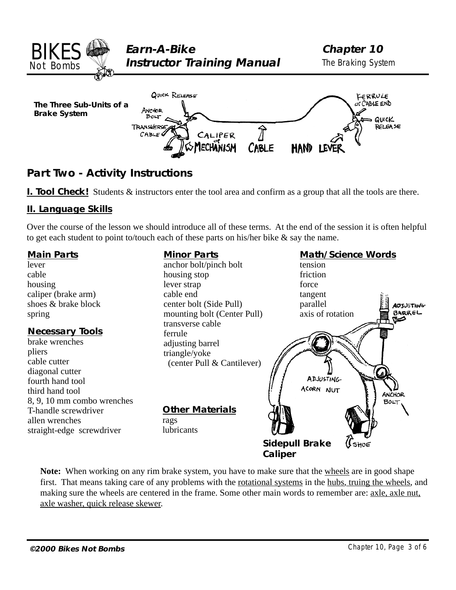<span id="page-2-0"></span>

### **Part Two - Activity Instructions**

**I. Tool Check!** Students & instructors enter the tool area and confirm as a group that all the tools are there.

### **II. Language Skills**

Over the course of the lesson we should introduce all of these terms. At the end of the session it is often helpful to get each student to point to/touch each of these parts on his/her bike & say the name.

#### **Minor Parts Math/Science Words Main Parts** lever anchor bolt/pinch bolt tension cable housing stop friction housing lever strap force caliper (brake arm) cable end tangent shoes & brake block center bolt (Side Pull) parallel **ADSUSTING** mounting bolt (Center Pull) axis of rotation BARREL spring transverse cable **Necessary Tools** ferrule brake wrenches adjusting barrel pliers triangle/yoke cable cutter (center Pull & Cantilever) diagonal cutter **ADJUSTING** fourth hand tool ACORN NUT third hand tool **ANCHOR** 8, 9, 10 mm combo wrenches BOLT **Other Materials** T-handle screwdriver allen wrenches rags straight-edge screwdriver lubricants **Sidepull Brake** SHOE **Caliper**

**Note:** When working on any rim brake system, you have to make sure that the wheels are in good shape first. That means taking care of any problems with the rotational systems in the hubs, truing the wheels, and making sure the wheels are centered in the frame. Some other main words to remember are: axle, axle nut, axle washer, quick release skewer.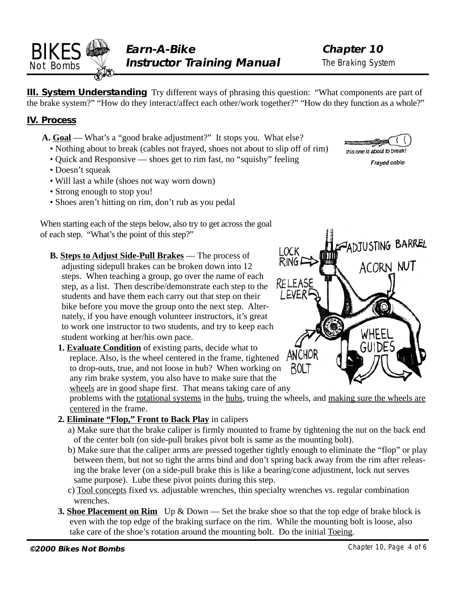**Chapter 10** The Braking System

**III. System Understanding** Try different ways of phrasing this question: "What components are part of the brake system?" "How do they interact/affect each other/work together?" "How do they function as a whole?"

### **IV. Process**

<span id="page-3-0"></span>BIKES Not Bombs

- **A. Goal** What's a "good brake adjustment?" It stops you. What else?
	- Nothing about to break (cables not frayed, shoes not about to slip off of rim)
	- Quick and Responsive shoes get to rim fast, no "squishy" feeling
	- Doesn't squeak
	- Will last a while (shoes not way worn down)
	- Strong enough to stop you!
	- Shoes aren't hitting on rim, don't rub as you pedal

When starting each of the steps below, also try to get across the goal of each step. "What's the point of this step?"

- **B. Steps to Adjust Side-Pull Brakes**  The process of adjusting sidepull brakes can be broken down into 12 steps. When teaching a group, go over the name of each step, as a list. Then describe/demonstrate each step to the students and have them each carry out that step on their bike before you move the group onto the next step. Alternately, if you have enough volunteer instructors, it's great to work one instructor to two students, and try to keep each student working at her/his own pace.
	- **1. Evaluate Condition** of existing parts, decide what to replace. Also, is the wheel centered in the frame, tightened to drop-outs, true, and not loose in hub? When working on any rim brake system, you also have to make sure that the wheels are in good shape first. That means taking care of any

problems with the rotational systems in the hubs, truing the wheels, and making sure the wheels are centered in the frame.

- **2. Eliminate "Flop," Front to Back Play** in calipers
	- a) Make sure that the brake caliper is firmly mounted to frame by tightening the nut on the back end of the center bolt (on side-pull brakes pivot bolt is same as the mounting bolt).
	- b) Make sure that the caliper arms are pressed together tightly enough to eliminate the "flop" or play between them, but not so tight the arms bind and don't spring back away from the rim after releasing the brake lever (on a side-pull brake this is like a bearing/cone adjustment, lock nut serves same purpose). Lube these pivot points during this step.
	- c) Tool concepts fixed vs. adjustable wrenches, thin specialty wrenches vs. regular combination wrenches.
- **3. Shoe Placement on Rim** Up & Down Set the brake shoe so that the top edge of brake block is even with the top edge of the braking surface on the rim. While the mounting bolt is loose, also take care of the shoe's rotation around the mounting bolt. Do the initial Toeing.



Frayed cable

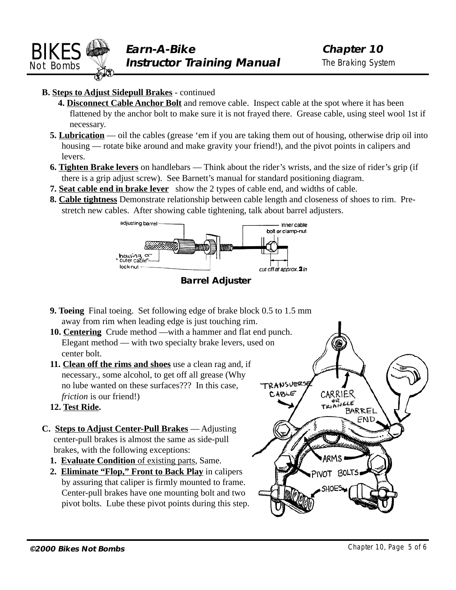<span id="page-4-0"></span>

### **B. Steps to Adjust Sidepull Brakes** - continued

- **4. Disconnect Cable Anchor Bolt** and remove cable. Inspect cable at the spot where it has been flattened by the anchor bolt to make sure it is not frayed there. Grease cable, using steel wool 1st if necessary.
- **5. Lubrication** oil the cables (grease 'em if you are taking them out of housing, otherwise drip oil into housing — rotate bike around and make gravity your friend!), and the pivot points in calipers and levers.
- **6. Tighten Brake levers** on handlebars Think about the rider's wrists, and the size of rider's grip (if there is a grip adjust screw). See Barnett's manual for standard positioning diagram.
- **7. Seat cable end in brake lever** show the 2 types of cable end, and widths of cable.
- **8. Cable tightness** Demonstrate relationship between cable length and closeness of shoes to rim. Prestretch new cables. After showing cable tightening, talk about barrel adjusters.



**Barrel Adjuster**

- **9. Toeing** Final toeing. Set following edge of brake block 0.5 to 1.5 mm away from rim when leading edge is just touching rim.
- **10. Centering** Crude method —with a hammer and flat end punch. Elegant method — with two specialty brake levers, used on center bolt.
- **11. Clean off the rims and shoes** use a clean rag and, if necessary., some alcohol, to get off all grease (Why no lube wanted on these surfaces??? In this case, *friction* is our friend!)
- **12. Test Ride.**
- **C. Steps to Adjust Center-Pull Brakes** Adjusting center-pull brakes is almost the same as side-pull brakes, with the following exceptions:
	- **1. Evaluate Condition** of existing parts, Same.
	- **2. Eliminate "Flop," Front to Back Play** in calipers by assuring that caliper is firmly mounted to frame. Center-pull brakes have one mounting bolt and two pivot bolts. Lube these pivot points during this step.